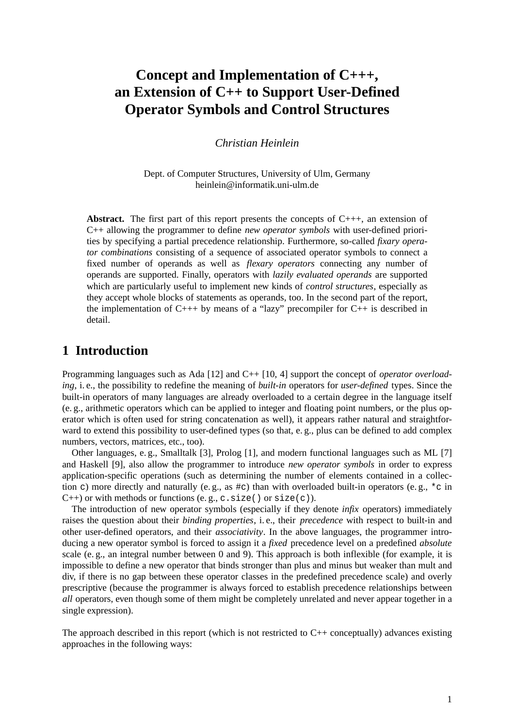# **Concept and Implementation of C+++, an Extension of C++ to Support User-Defined Operator Symbols and Control Structures**

*Christian Heinlein*

Dept. of Computer Structures, University of Ulm, Germany heinlein@informatik.uni-ulm.de

Abstract. The first part of this report presents the concepts of C+++, an extension of C++ allowing the programmer to define *new operator symbols* with user-defined priorities by specifying a partial precedence relationship. Furthermore, so-called *fixary operator combinations* consisting of a sequence of associated operator symbols to connect a fixed number of operands as well as *flexary operators* connecting any number of operands are supported. Finally, operators with *lazily evaluated operands* are supported which are particularly useful to implement new kinds of *control structures*, especially as they accept whole blocks of statements as operands, too. In the second part of the report, the implementation of  $C_{+++}$  by means of a "lazy" precompiler for  $C_{++}$  is described in detail.

## **1 Introduction**

Programming languages such as Ada [12] and C++ [10, 4] support the concept of *operator overloading*, i. e., the possibility to redefine the meaning of *built-in* operators for *user-defined* types. Since the built-in operators of many languages are already overloaded to a certain degree in the language itself (e. g., arithmetic operators which can be applied to integer and floating point numbers, or the plus operator which is often used for string concatenation as well), it appears rather natural and straightforward to extend this possibility to user-defined types (so that, e. g., plus can be defined to add complex numbers, vectors, matrices, etc., too).

Other languages, e. g., Smalltalk [3], Prolog [1], and modern functional languages such as ML [7] and Haskell [9], also allow the programmer to introduce *new operator symbols* in order to express application-specific operations (such as determining the number of elements contained in a collection c) more directly and naturally (e. g., as #c) than with overloaded built-in operators (e. g., \*c in  $C_{++}$ ) or with methods or functions (e.g., c.size() or size(c)).

The introduction of new operator symbols (especially if they denote *infix* operators) immediately raises the question about their *binding properties*, i. e., their *precedence* with respect to built-in and other user-defined operators, and their *associativity*. In the above languages, the programmer introducing a new operator symbol is forced to assign it a *fixed* precedence level onapredefined *absolute* scale (e. g., an integral number between 0 and 9). This approach is both inflexible (for example, it is impossible to define a new operator that binds stronger than plus and minus but weaker than mult and div, if there is no gap between these operator classes in the predefined precedence scale) and overly prescriptive (because the programmer is always forced to establish precedence relationships between *all* operators, even though some of them might be completely unrelated and never appear together in a single expression).

The approach described in this report (which is not restricted to  $C_{++}$  conceptually) advances existing approaches in the following ways: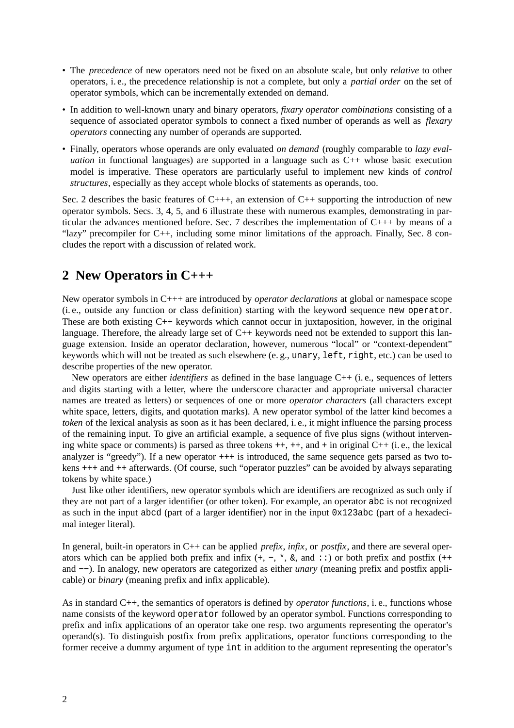- The *precedence* of new operators need not be fixed on an absolute scale, but only *relative* to other operators, i. e., the precedence relationship is not a complete, but only a *partial order* on the set of operator symbols, which can be incrementally extended on demand.
- In addition to well-known unary and binary operators, *fixary operator combinations* consisting of a sequence of associated operator symbols to connect a fixed number of operands as well as *flexary operators* connecting any number of operands are supported.
- Finally, operators whose operands are only evaluated *on demand* (roughly comparable to *lazy evaluation* in functional languages) are supported in a language such as C++ whose basic execution model is imperative. These operators are particularly useful to implement new kinds of *control structures*, especially as they accept whole blocks of statements as operands, too.

Sec. 2 describes the basic features of  $C_{+++}$ , an extension of  $C_{++}$  supporting the introduction of new operator symbols. Secs. 3, 4, 5, and 6 illustrate these with numerous examples, demonstrating in particular the advances mentioned before. Sec. 7 describes the implementation of C+++ by means of a "lazy" precompiler for C++, including some minor limitations of the approach. Finally, Sec. 8 concludes the report with a discussion of related work.

# **2 New Operators in C+++**

New operator symbols in C+++ are introduced by *operator declarations* at global or namespace scope (i. e., outside any function or class definition) starting with the keyword sequence new operator. These are both existing  $C_{++}$  keywords which cannot occur in juxtaposition, however, in the original language. Therefore, the already large set of C++ keywords need not be extended to support this language extension. Inside an operator declaration, however, numerous "local" or "context-dependent" keywords which will not be treated as such elsewhere (e. g., unary, left, right, etc.) can be used to describe properties of the new operator.

New operators are either *identifiers* as defined in the base language C++ (i. e., sequences of letters and digits starting with a letter, where the underscore character and appropriate universal character names are treated as letters) or sequences of one or more *operator characters* (all characters except white space, letters, digits, and quotation marks). A new operator symbol of the latter kind becomes a *token* of the lexical analysis as soon as it has been declared, i. e., it might influence the parsing process of the remaining input. To give an artificial example, a sequence of five plus signs (without intervening white space or comments) is parsed as three tokens ++, ++, and + in original C++ (i. e., the lexical analyzer is "greedy"). If a new operator +++ is introduced, the same sequence gets parsed as two tokens +++ and ++ afterwards. (Of course, such "operator puzzles" can be avoided by always separating tokens by white space.)

Just like other identifiers, new operator symbols which are identifiers are recognized as such only if they are not part of a larger identifier (or other token). For example, an operator abc is not recognized as such in the input abcd (part of a larger identifier) nor in the input 0x123abc (part of a hexadecimal integer literal).

In general, built-in operators in C++ can be applied *prefix*, *infix*, or *postfix*, and there are several operators which can be applied both prefix and infix  $(+, -, *, \&$ , and  $\cdot :$ ) or both prefix and postfix  $(++)$ and −−). In analogy, new operators are categorized as either *unary* (meaning prefix and postfix applicable) or *binary* (meaning prefix and infix applicable).

As in standard C++, the semantics of operators is defined by *operator functions*, i. e., functions whose name consists of the keyword operator followed by an operator symbol. Functions corresponding to prefix and infix applications of an operator take one resp. two arguments representing the operator's operand(s). To distinguish postfix from prefix applications, operator functions corresponding to the former receive a dummy argument of type int in addition to the argument representing the operator's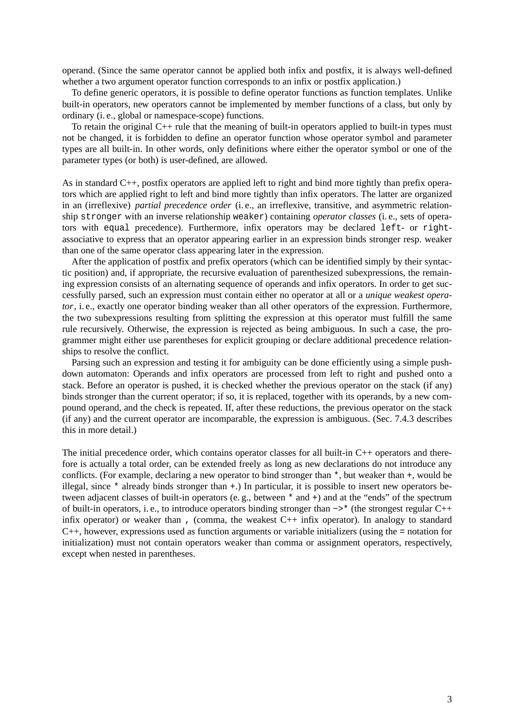operand. (Since the same operator cannot be applied both infix and postfix, it is always well-defined whether a two argument operator function corresponds to an infix or postfix application.)

To define generic operators, it is possible to define operator functions as function templates. Unlike built-in operators, new operators cannot be implemented by member functions of a class, but only by ordinary (i. e., global or namespace-scope) functions.

To retain the original C++ rule that the meaning of built-in operators applied to built-in types must not be changed, it is forbidden to define an operator function whose operator symbol and parameter types are all built-in. In other words, only definitions where either the operator symbol or one of the parameter types (or both) is user-defined, are allowed.

As in standard C++, postfix operators are applied left to right and bind more tightly than prefix operators which are applied right to left and bind more tightly than infix operators. The latter are organized in an (irreflexive) *partial precedence order* (i. e., an irreflexive, transitive, and asymmetric relationship stronger with an inverse relationship weaker) containing *operator classes* (i. e., sets of operators with equal precedence). Furthermore, infix operators may be declared left- or rightassociative to express that an operator appearing earlier in an expression binds stronger resp. weaker than one of the same operator class appearing later in the expression.

After the application of postfix and prefix operators (which can be identified simply by their syntactic position) and, if appropriate, the recursive evaluation of parenthesized subexpressions, the remaining expression consists of an alternating sequence of operands and infix operators. In order to get successfully parsed, such an expression must contain either no operator at all or a *unique weakest operator*, i. e., exactly one operator binding weaker than all other operators of the expression. Furthermore, the two subexpressions resulting from splitting the expression at this operator must fulfill the same rule recursively. Otherwise, the expression is rejected as being ambiguous. In such a case, the programmer might either use parentheses for explicit grouping or declare additional precedence relationships to resolve the conflict.

Parsing such an expression and testing it for ambiguity can be done efficiently using a simple pushdown automaton: Operands and infix operators are processed from left to right and pushed onto a stack. Before an operator is pushed, it is checked whether the previous operator on the stack (if any) binds stronger than the current operator; if so, it is replaced, together with its operands, by a new compound operand, and the check is repeated. If, after these reductions, the previous operator on the stack (if any) and the current operator are incomparable, the expression is ambiguous. (Sec. 7.4.3 describes this in more detail.)

The initial precedence order, which contains operator classes for all built-in C++ operators and therefore is actually a total order, can be extended freely as long as new declarations do not introduce any conflicts. (For example, declaring a new operator to bind stronger than \*, but weaker than +, would be illegal, since \* already binds stronger than +.) In particular, it is possible to insert new operators between adjacent classes of built-in operators (e. g., between \* and +) and at the "ends" of the spectrum of built-in operators, i. e., to introduce operators binding stronger than −>\* (the strongest regular C++ infix operator) or weaker than , (comma, the weakest C++ infix operator). In analogy to standard C++, however, expressions used as function arguments or variable initializers (using the = notation for initialization) must not contain operators weaker than comma or assignment operators, respectively, except when nested in parentheses.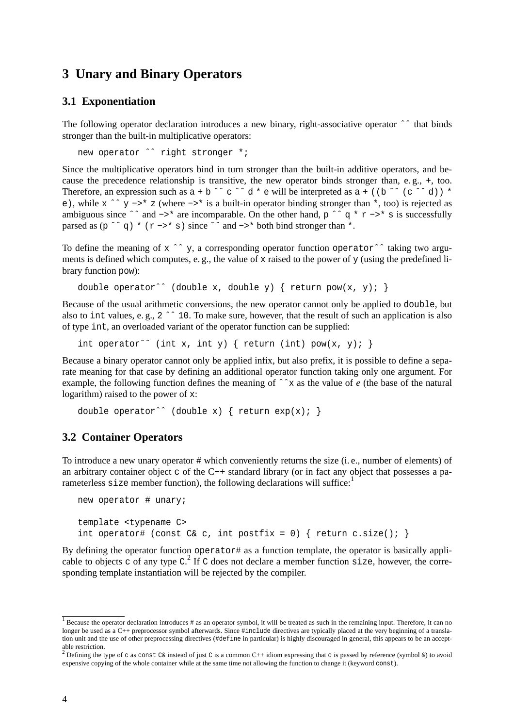# **3 Unary and Binary Operators**

#### **3.1 Exponentiation**

The following operator declaration introduces a new binary, right-associative operator ^^ that binds stronger than the built-in multiplicative operators:

new operator ^^ right stronger \*;

Since the multiplicative operators bind in turn stronger than the built-in additive operators, and because the precedence relationship is transitive, the new operator binds stronger than, e. g., +, too. Therefore, an expression such as  $a + b \rightharpoonup c \rightharpoonup d * e$  will be interpreted as  $a + (b \rightharpoonup c \rightharpoonup d) * f$ e), while x ˆˆy−>\* z (where −>\* is a built-in operator binding stronger than \*, too) is rejected as ambiguous since  $\hat{ }$  and  $-\hat{ }$  are incomparable. On the other hand, p  $\hat{ }$   $\hat{ }$  q  $*$  r  $-\hat{ }$  s is successfully parsed as  $(p \rightharpoonup q * (r \rightarrow *)$  since  $\rightharpoonup$  and  $\rightarrow *$  both bind stronger than  $*$ .

To define the meaning of x ^^ y, a corresponding operator function operator  $\hat{ }$  aking two arguments is defined which computes, e. g., the value of x raised to the power of y (using the predefined library function pow):

```
double operator^^ (double x, double y) { return pow(x, y); }
```
Because of the usual arithmetic conversions, the new operator cannot only be applied to double, but also to int values, e.g., 2 ^^ 10. To make sure, however, that the result of such an application is also of type int, an overloaded variant of the operator function can be supplied:

int operator^^ (int x, int y) { return (int)  $pow(x, y)$ ; }

Because a binary operator cannot only be applied infix, but also prefix, it is possible to define a separate meaning for that case by defining an additional operator function taking only one argument. For example, the following function defines the meaning of ˆˆx as the value of *e* (the base of the natural logarithm) raised to the power of x:

```
double operator^^ (double x) { return exp(x); }
```
#### **3.2 Container Operators**

To introduce a new unary operator # which conveniently returns the size (i. e., number of elements) of an arbitrary container object c of the  $C_{++}$  standard library (or in fact any object that possesses a parameterless size member function), the following declarations will suffice:<sup>1</sup>

```
new operator # unary;
template <typename C>
int operator# (const C& c, int postfix = 0) { return c.size(); }
```
By defining the operator function operator# as a function template, the operator is basically applicable to objects c of any type  $C^2$ . If C does not declare a member function size, however, the corresponding template instantiation will be rejected by the compiler.

 $\frac{1}{1}$  Because the operator declaration introduces # as an operator symbol, it will be treated as such in the remaining input. Therefore, it can no longer be used as a C++ preprocessor symbol afterwards. Since #include directives are typically placed at the very beginning of a translation unit and the use of other preprocessing directives (#define in particular) is highly discouraged in general, this appears to be an acceptable restriction.<br><sup>2</sup> Defining the type of c as const C& instead of just C is a common C++ idiom expressing that c is passed by reference (symbol &) to avoid

expensive copying of the whole container while at the same time not allowing the function to change it (keyword const).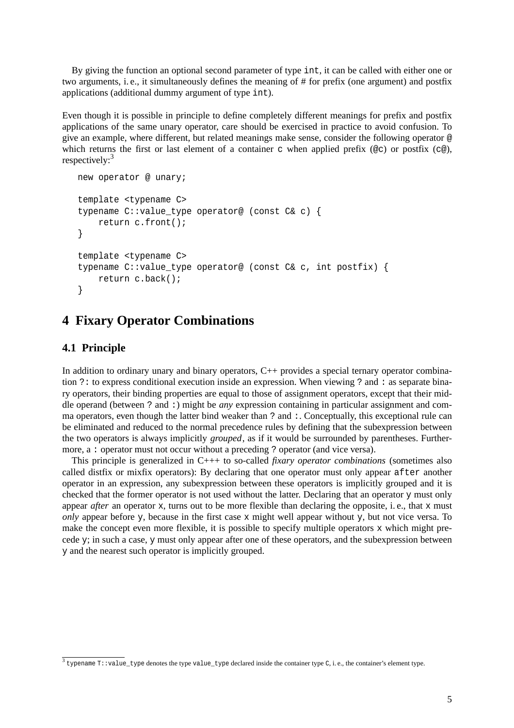By giving the function an optional second parameter of type int, it can be called with either one or two arguments, i. e., it simultaneously defines the meaning of # for prefix (one argument) and postfix applications (additional dummy argument of type int).

Even though it is possible in principle to define completely different meanings for prefix and postfix applications of the same unary operator, care should be exercised in practice to avoid confusion. To give an example, where different, but related meanings make sense, consider the following operator @ which returns the first or last element of a container c when applied prefix ( $@c$ ) or postfix ( $c@$ ), respectively:<sup>3</sup>

```
new operator @ unary;
template <typename C>
typename C::value_type operator@ (const C& c) {
    return c.front();
}
template <typename C>
typename C::value_type operator@ (const C& c, int postfix) {
    return c.back();
}
```
# **4 Fixary Operator Combinations**

### **4.1 Principle**

In addition to ordinary unary and binary operators, C++ provides a special ternary operator combination ?: to express conditional execution inside an expression. When viewing ? and : as separate binary operators, their binding properties are equal to those of assignment operators, except that their middle operand (between ? and :) might be *any* expression containing in particular assignment and comma operators, even though the latter bind weaker than ? and :. Conceptually, this exceptional rule can be eliminated and reduced to the normal precedence rules by defining that the subexpression between the two operators is always implicitly *grouped*, as if it would be surrounded by parentheses. Furthermore, a : operator must not occur without a preceding ? operator (and vice versa).

This principle is generalized in C+++ to so-called *fixary operator combinations* (sometimes also called distfix or mixfix operators): By declaring that one operator must only appear after another operator in an expression, any subexpression between these operators is implicitly grouped and it is checked that the former operator is not used without the latter. Declaring that an operator y must only appear *after* an operator x, turns out to be more flexible than declaring the opposite, i.e., that x must *only* appear before y, because in the first case x might well appear without y, but not vice versa. To make the concept even more flexible, it is possible to specify multiple operators x which might precede y; in such a case, y must only appear after one of these operators, and the subexpression between y and the nearest such operator is implicitly grouped.

 $3$  typename T::value\_type denotes the type value\_type declared inside the container type C, i.e., the container's element type.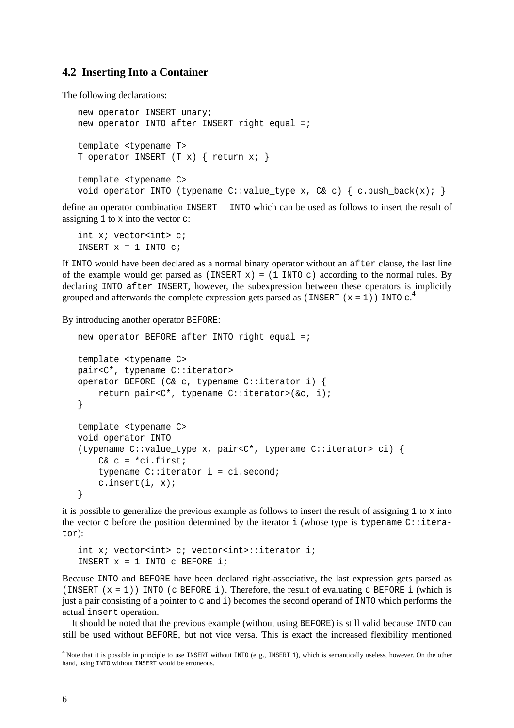#### **4.2 Inserting Into a Container**

The following declarations:

```
new operator INSERT unary;
new operator INTO after INSERT right equal =;
template <typename T>
T operator INSERT (T x) { return x; }
template <typename C>
void operator INTO (typename C::value_type x, C& c) { c. push\_back(x); }
```
define an operator combination INSERT – INTO which can be used as follows to insert the result of assigning 1 to x into the vector c:

int x; vector<int> c; INSERT  $x = 1$  INTO  $ci$ 

If INTO would have been declared as a normal binary operator without an after clause, the last line of the example would get parsed as (INSERT  $x$ ) = (1 INTO c) according to the normal rules. By declaring INTO after INSERT, however, the subexpression between these operators is implicitly grouped and afterwards the complete expression gets parsed as (INSERT ( $x = 1$ )) INTO c.<sup>4</sup>

By introducing another operator BEFORE:

```
new operator BEFORE after INTO right equal =itemplate <typename C>
pair<C*, typename C::iterator>
operator BEFORE (C& c, typename C::iterator i) {
    return pair<C*, typename C::iterator>(&c, i);
}
template <typename C>
void operator INTO
(typename C::value_type x, pair<C*, typename C::iterator> ci) {
    C& c = *ci.first;typename C::iterator i = ci.second;
    c.insert(i, x);
}
```
it is possible to generalize the previous example as follows to insert the result of assigning  $1$  to  $x$  into the vector c before the position determined by the iterator i (whose type is typename  $C:$  iterator):

```
int x; vector<int> c; vector<int>::iterator i;
INSERT x = 1 INTO c BEFORE i;
```
Because INTO and BEFORE have been declared right-associative, the last expression gets parsed as (INSERT  $(x = 1)$ ) INTO (c BEFORE i). Therefore, the result of evaluating c BEFORE i (which is just a pair consisting of a pointer to c and i) becomes the second operand of INTO which performs the actual insert operation.

It should be noted that the previous example (without using BEFORE) is still valid because INTO can still be used without BEFORE, but not vice versa. This is exact the increased flexibility mentioned

<sup>&</sup>lt;sup>4</sup> Note that it is possible in principle to use INSERT without INTO (e.g., INSERT 1), which is semantically useless, however. On the other hand, using INTO without INSERT would be erroneous.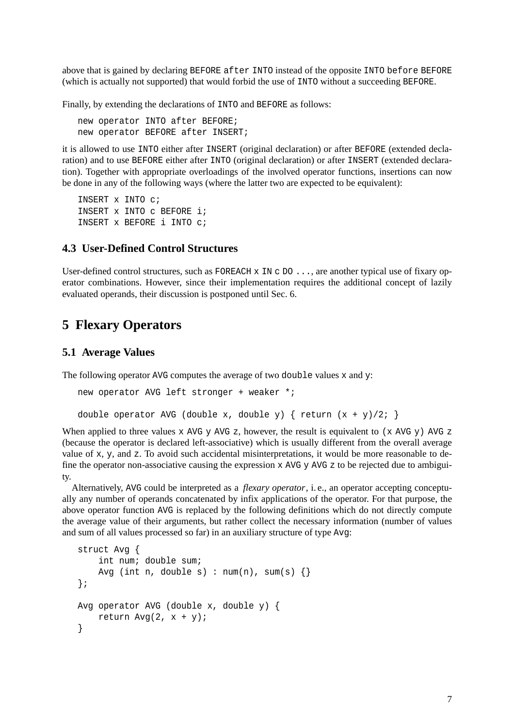above that is gained by declaring BEFORE after INTO instead of the opposite INTO before BEFORE (which is actually not supported) that would forbid the use of INTO without a succeeding BEFORE.

Finally, by extending the declarations of INTO and BEFORE as follows:

new operator INTO after BEFORE; new operator BEFORE after INSERT;

it is allowed to use INTO either after INSERT (original declaration) or after BEFORE (extended declaration) and to use BEFORE either after INTO (original declaration) or after INSERT (extended declaration). Together with appropriate overloadings of the involved operator functions, insertions can now be done in any of the following ways (where the latter two are expected to be equivalent):

INSERT x INTO c; INSERT x INTO c BEFORE i; INSERT x BEFORE i INTO c;

### **4.3 User-Defined Control Structures**

User-defined control structures, such as FOREACH x IN c DO . . . , are another typical use of fixary operator combinations. However, since their implementation requires the additional concept of lazily evaluated operands, their discussion is postponed until Sec. 6.

# **5 Flexary Operators**

#### **5.1 Average Values**

The following operator AVG computes the average of two double values  $x$  and  $y$ :

```
new operator AVG left stronger + weaker *;
double operator AVG (double x, double y) { return (x + y)/2; }
```
When applied to three values x AVG y AVG z, however, the result is equivalent to (x AVG y) AVG z (because the operator is declared left-associative) which is usually different from the overall average value of x, y, and z. To avoid such accidental misinterpretations, it would be more reasonable to define the operator non-associative causing the expression  $x$  AVG  $y$  AVG  $z$  to be rejected due to ambiguity.

Alternatively, AVG could be interpreted as a *flexary operator*, i. e., an operator accepting conceptually any number of operands concatenated by infix applications of the operator. For that purpose, the above operator function AVG is replaced by the following definitions which do not directly compute the average value of their arguments, but rather collect the necessary information (number of values and sum of all values processed so far) in an auxiliary structure of type Avg:

```
struct Avg {
    int num; double sum;
    Avg (int n, double s) : num(n), sum(s) {}
};
Avg operator AVG (double x, double y) {
    return Avg(2, x + y);
}
```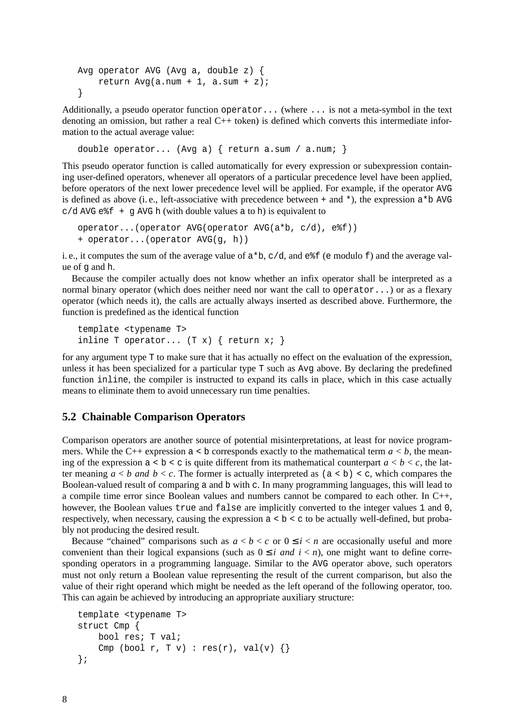```
Avg operator AVG (Avg a, double z) {
    return Avg(a.num + 1, a.sum + z);
}
```
Additionally, a pseudo operator function operator... (where ... is not a meta-symbol in the text denoting an omission, but rather a real C++ token) is defined which converts this intermediate information to the actual average value:

double operator... (Avg a) { return a.sum / a.num; }

This pseudo operator function is called automatically for every expression or subexpression containing user-defined operators, whenever all operators of a particular precedence level have been applied, before operators of the next lower precedence level will be applied. For example, if the operator AVG is defined as above (i.e., left-associative with precedence between + and  $\star$ ), the expression  $a \star b$  AVG  $c/d$  AVG e  $f + g$  AVG h (with double values a to h) is equivalent to

```
operator...(operator AVG(operator AVG(a*b, c/d), e%f))
+ operator...(operator AVG(g, h))
```
i. e., it computes the sum of the average value of  $a * b$ ,  $c/d$ , and  $e * f$  (e modulo f) and the average value of g and h.

Because the compiler actually does not know whether an infix operator shall be interpreted as a normal binary operator (which does neither need nor want the call to operator...) or as a flexary operator (which needs it), the calls are actually always inserted as described above. Furthermore, the function is predefined as the identical function

```
template <typename T>
inline T operator... (T x) \{ return x : \}
```
for any argument type T to make sure that it has actually no effect on the evaluation of the expression, unless it has been specialized for a particular type T such as Avg above. By declaring the predefined function inline, the compiler is instructed to expand its calls in place, which in this case actually means to eliminate them to avoid unnecessary run time penalties.

### **5.2 Chainable Comparison Operators**

Comparison operators are another source of potential misinterpretations, at least for novice programmers. While the C++ expression  $a < b$  corresponds exactly to the mathematical term  $a < b$ , the meaning of the expression  $a < b < c$  is quite different from its mathematical counterpart  $a < b < c$ , the latter meaning  $a < b$  *and*  $b < c$ . The former is actually interpreted as  $(a < b) < c$ , which compares the Boolean-valued result of comparing a and b with c. In many programming languages, this will lead to a compile time error since Boolean values and numbers cannot be compared to each other. In C++, however, the Boolean values true and false are implicitly converted to the integer values 1 and 0, respectively, when necessary, causing the expression  $a < b < c$  to be actually well-defined, but probably not producing the desired result.

Because "chained" comparisons such as  $a < b < c$  or  $0 \le i < n$  are occasionally useful and more convenient than their logical expansions (such as  $0 \le i$  *and*  $i < n$ ), one might want to define corresponding operators in a programming language. Similar to the AVG operator above, such operators must not only return a Boolean value representing the result of the current comparison, but also the value of their right operand which might be needed as the left operand of the following operator, too. This can again be achieved by introducing an appropriate auxiliary structure:

```
template <typename T>
struct Cmp {
    bool res; T val;
    Cmp (bool r, T v) : res(r), val(v) \{\}};
```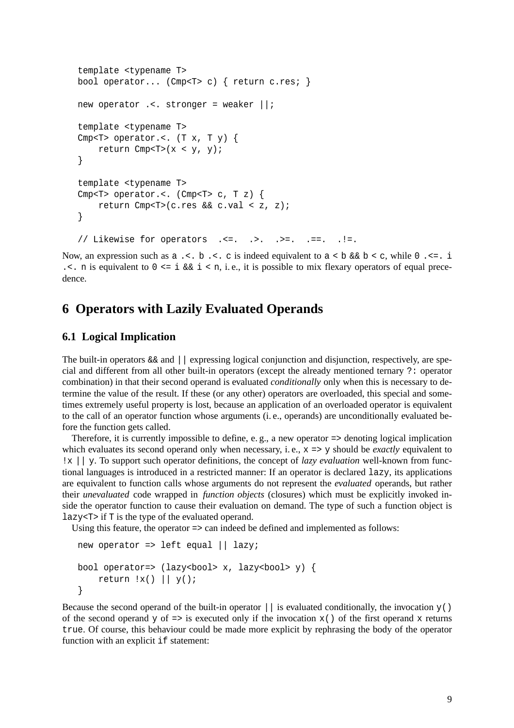```
template <typename T>
bool operator... (Cmp<T> c) { return c.res; }
new operator .<. stronger = weaker ||;
template <typename T>
Cmp<T> operator.<. (T x, T y) {
    return Cmp<T>(x < y, y);
}
template <typename T>
Cmp<T> operator.<. (Cmp<T> c, T z) {
    return Cmp<T>(c.res && c.val < z, z);
}
// Likewise for operators .<=. .>. .>=. .==. .!=.
```
Now, an expression such as  $a \leq b \leq c$  is indeed equivalent to  $a \leq b \& b \leq c$ , while 0  $\leq a \leq b \leq c$ . ... n is equivalent to  $0 \le i \le k \le i \le n$ , i.e., it is possible to mix flexary operators of equal precedence.

## **6 Operators with Lazily Evaluated Operands**

#### **6.1 Logical Implication**

The built-in operators && and || expressing logical conjunction and disjunction, respectively, are special and different from all other built-in operators (except the already mentioned ternary ?: operator combination) in that their second operand is evaluated *conditionally* only when this is necessary to determine the value of the result. If these (or any other) operators are overloaded, this special and sometimes extremely useful property is lost, because an application of an overloaded operator is equivalent to the call of an operator function whose arguments (i. e., operands) are unconditionally evaluated before the function gets called.

Therefore, it is currently impossible to define, e. g., a new operator => denoting logical implication which evaluates its second operand only when necessary, i.e.,  $x \Rightarrow y$  should be *exactly* equivalent to !x || y. To support such operator definitions, the concept of *lazy evaluation* well-known from functional languages is introduced in a restricted manner: If an operator is declared lazy, its applications are equivalent to function calls whose arguments do not represent the *evaluated* operands, but rather their *unevaluated* code wrapped in *function objects* (closures) which must be explicitly invoked inside the operator function to cause their evaluation on demand. The type of such a function object is lazy<T> if T is the type of the evaluated operand.

Using this feature, the operator => can indeed be defined and implemented as follows:

```
new operator => left equal || lazy;
bool operator=> (lazy<br/>bool> x, lazy<br/>bool> y) {
    return !x() || y();
}
```
Because the second operand of the built-in operator  $||\cdot||$  is evaluated conditionally, the invocation  $y($ ) of the second operand y of  $\Rightarrow$  is executed only if the invocation  $x()$  of the first operand x returns true. Of course, this behaviour could be made more explicit by rephrasing the body of the operator function with an explicit if statement: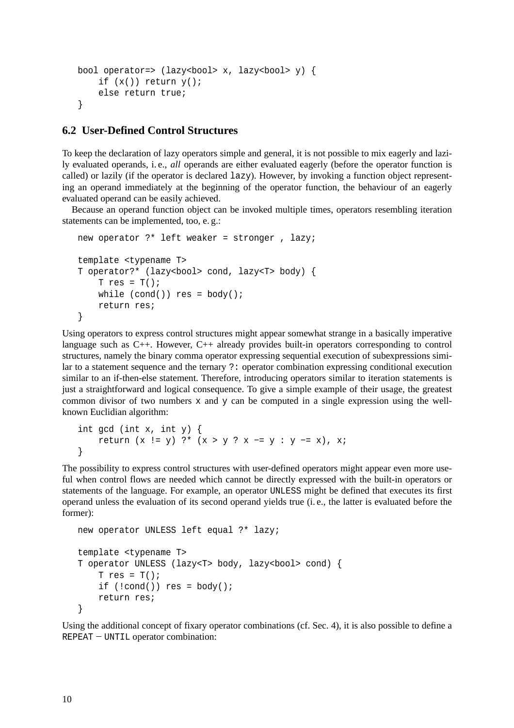```
bool operator=> (lazy<br/>bool> x, lazy<br/>bool> y) {
    if (x() return y();
    else return true;
}
```
### **6.2 User-Defined Control Structures**

To keep the declaration of lazy operators simple and general, it is not possible to mix eagerly and lazily evaluated operands, i. e., *all* operands are either evaluated eagerly (before the operator function is called) or lazily (if the operator is declared  $laxy$ ). However, by invoking a function object representing an operand immediately at the beginning of the operator function, the behaviour of an eagerly evaluated operand can be easily achieved.

Because an operand function object can be invoked multiple times, operators resembling iteration statements can be implemented, too, e. g.:

```
new operator ?* left weaker = stronger , lazy;
template <typename T>
T operator?* (lazy<bool> cond, lazy<T> body) {
    T res = T();
    while (cond() res = body();
    return res;
}
```
Using operators to express control structures might appear somewhat strange in a basically imperative language such as C++. However, C++ already provides built-in operators corresponding to control structures, namely the binary comma operator expressing sequential execution of subexpressions similar to a statement sequence and the ternary ?: operator combination expressing conditional execution similar to an if-then-else statement. Therefore, introducing operators similar to iteration statements is just a straightforward and logical consequence. To give a simple example of their usage, the greatest common divisor of two numbers  $x$  and  $y$  can be computed in a single expression using the wellknown Euclidian algorithm:

```
int gcd (int x, int y) {
    return (x != y) ?* (x > y ? x −= y : y −= x), x;
}
```
The possibility to express control structures with user-defined operators might appear even more useful when control flows are needed which cannot be directly expressed with the built-in operators or statements of the language. For example, an operator UNLESS might be defined that executes its first operand unless the evaluation of its second operand yields true (i. e., the latter is evaluated before the former):

```
new operator UNLESS left equal ?* lazy;
template <typename T>
T operator UNLESS (lazy<T> body, lazy<br/>bool> cond) {
    T res = T();
    if (lcond()) res = body();
    return res;
}
```
Using the additional concept of fixary operator combinations (cf. Sec. 4), it is also possible to define a REPEAT – UNTIL operator combination: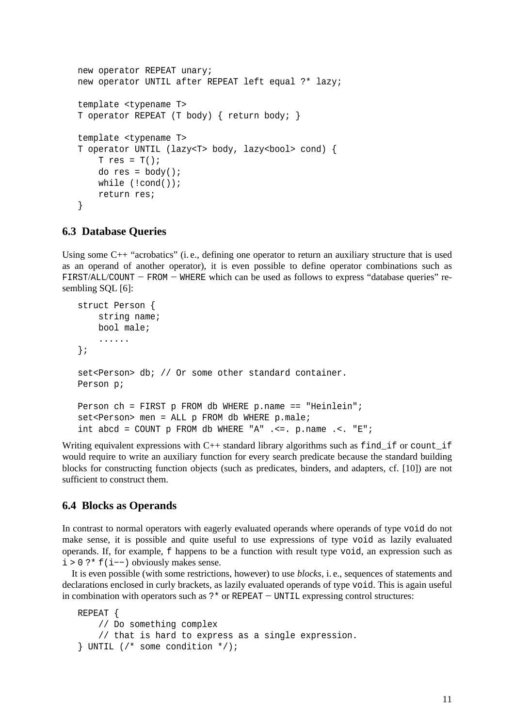```
new operator REPEAT unary;
new operator UNTIL after REPEAT left equal ?* lazy;
template <typename T>
T operator REPEAT (T body) { return body; }
template <typename T>
T operator UNTIL (lazy<T> body, lazy<br/>bool> cond) {
    T res = T();
    do res = body();
    while (!cond());
    return res;
}
```
#### **6.3 Database Queries**

Using some C++ "acrobatics" (i. e., defining one operator to return an auxiliary structure that is used as an operand of another operator), it is even possible to define operator combinations such as FIRST/ALL/COUNT −− FROM −− WHERE which can be used as follows to express "database queries" resembling SQL [6]:

```
struct Person {
   string name;
   bool male;
    ......
};
set<Person> db; // Or some other standard container.
Person p;
Person ch = FIRST p FROM db WHERE p.name == "Heinlein";
set<Person> men = ALL p FROM db WHERE p.male;
int abcd = COUNT p FROM db WHERE "A" .<=. p.name .<. "E";
```
Writing equivalent expressions with  $C++$  standard library algorithms such as find if or count if would require to write an auxiliary function for every search predicate because the standard building blocks for constructing function objects (such as predicates, binders, and adapters, cf. [10]) are not sufficient to construct them.

### **6.4 Blocks as Operands**

In contrast to normal operators with eagerly evaluated operands where operands of type void do not make sense, it is possible and quite useful to use expressions of type void as lazily evaluated operands. If, for example, f happens to be a function with result type void, an expression such as i>0?\* f(i−−) obviously makes sense.

It is even possible (with some restrictions, however) to use *blocks*, i. e., sequences of statements and declarations enclosed in curly brackets, as lazily evaluated operands of type void. This is again useful in combination with operators such as ?\* or REPEAT −− UNTIL expressing control structures:

```
REPEAT {
    // Do something complex
    // that is hard to express as a single expression.
\} UNTIL (/* some condition */);
```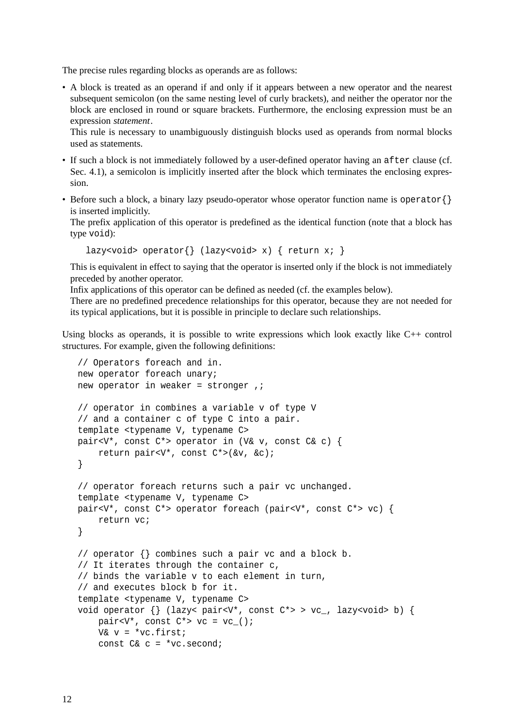The precise rules regarding blocks as operands are as follows:

• A block is treated as an operand if and only if it appears between a new operator and the nearest subsequent semicolon (on the same nesting level of curly brackets), and neither the operator nor the block are enclosed in round or square brackets. Furthermore, the enclosing expression must be an expression *statement*.

This rule is necessary to unambiguously distinguish blocks used as operands from normal blocks used as statements.

- If such a block is not immediately followed by a user-defined operator having an after clause (cf. Sec. 4.1), a semicolon is implicitly inserted after the block which terminates the enclosing expression.
- Before such a block, a binary lazy pseudo-operator whose operator function name is operator {} is inserted implicitly.

The prefix application of this operator is predefined as the identical function (note that a block has type void):

lazy<void> operator{} (lazy<void> x) { return x; }

This is equivalent in effect to saying that the operator is inserted only if the block is not immediately preceded by another operator.

Infix applications of this operator can be defined as needed (cf. the examples below).

There are no predefined precedence relationships for this operator, because they are not needed for its typical applications, but it is possible in principle to declare such relationships.

Using blocks as operands, it is possible to write expressions which look exactly like C++ control structures. For example, given the following definitions:

```
// Operators foreach and in.
new operator foreach unary;
new operator in weaker = stronger, ;
// operator in combines a variable v of type V
// and a container c of type C into a pair.
template <typename V, typename C>
pair<V*, const C*> operator in (V& v, const C& c) {
    return pair<V*, const C*>(&v, &c);
}
// operator foreach returns such a pair vc unchanged.
template <typename V, typename C>
pair<V*, const C*> operator foreach (pair<V*, const C*> vc) {
    return vc;
}
// operator {} combines such a pair vc and a block b.
// It iterates through the container c,
// binds the variable v to each element in turn,
// and executes block b for it.
template <typename V, typename C>
void operator \{\} (lazy< pair<V*, const C*> > vc_, lazy<void> b) {
    pair<V*, const C^* vc = vc_();
    V& v = *vc.first;const C& c = *vc.second;
```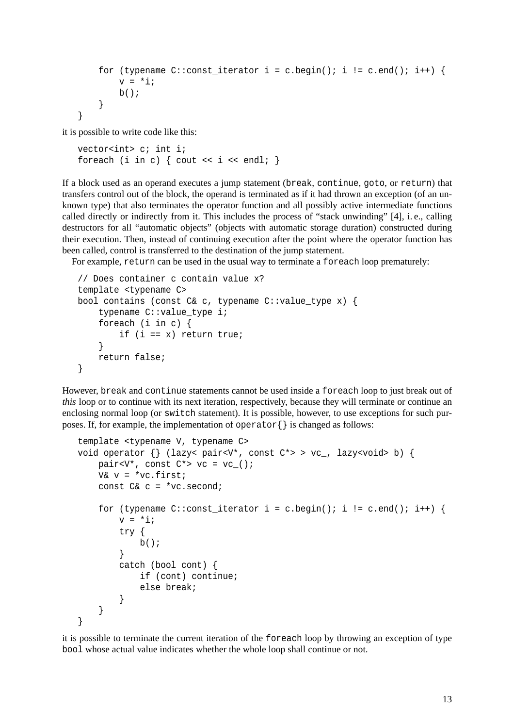```
for (typename C::const\_iterator i = c.begin(); i != c.end(); i++) {
       v = *i;b();
    }
}
```
it is possible to write code like this:

```
vector<int> c; int i;
foreach (i in c) { cout << i << endl; }
```
If a block used as an operand executes a jump statement (break, continue, goto, or return) that transfers control out of the block, the operand is terminated as if it had thrown an exception (of an unknown type) that also terminates the operator function and all possibly active intermediate functions called directly or indirectly from it. This includes the process of "stack unwinding" [4], i. e., calling destructors for all "automatic objects" (objects with automatic storage duration) constructed during their execution. Then, instead of continuing execution after the point where the operator function has been called, control is transferred to the destination of the jump statement.

For example, return can be used in the usual way to terminate a foreach loop prematurely:

```
// Does container c contain value x?
template <typename C>
bool contains (const C& c, typename C::value_type x) {
    typename C::value_type i;
    foreach (i in c) {
        if (i == x) return true;
    }
    return false;
}
```
However, break and continue statements cannot be used inside a foreach loop to just break out of *this* loop or to continue with its next iteration, respectively, because they will terminate or continue an enclosing normal loop (or switch statement). It is possible, however, to use exceptions for such purposes. If, for example, the implementation of operator  $\{\}$  is changed as follows:

```
template <typename V, typename C>
void operator \{\} (lazy< pair<V*, const C*> > vc_, lazy<void> b) {
    pair<V*, const C* > vc = vc( );
    V& v = *vc.first;const C& c = *vc.second;
    for (typename C::const_iterator i = c.begin(); i != c.end(); i++) {
        v = *i;try {
            b();
        }
        catch (bool cont) {
            if (cont) continue;
            else break;
        }
    }
}
```
it is possible to terminate the current iteration of the foreach loop by throwing an exception of type bool whose actual value indicates whether the whole loop shall continue or not.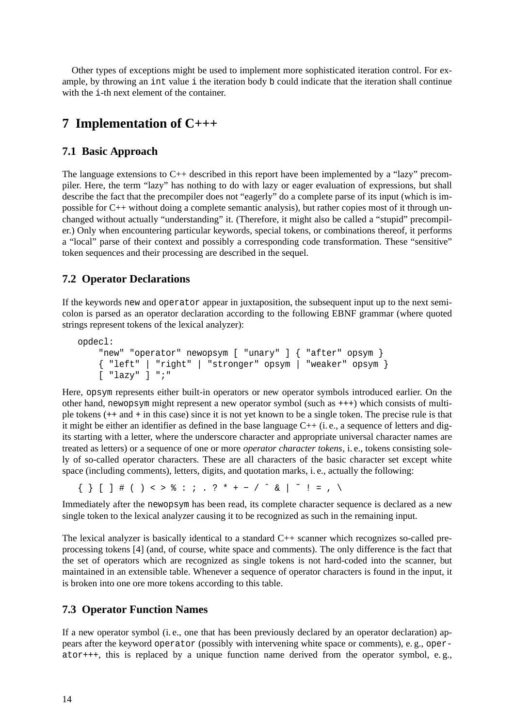Other types of exceptions might be used to implement more sophisticated iteration control. For example, by throwing an int value i the iteration body b could indicate that the iteration shall continue with the *i*-th next element of the container.

# **7 Implementation of C+++**

### **7.1 Basic Approach**

The language extensions to C++ described in this report have been implemented by a "lazy" precompiler. Here, the term "lazy" has nothing to do with lazy or eager evaluation of expressions, but shall describe the fact that the precompiler does not "eagerly" do a complete parse of its input (which is impossible for C++ without doing a complete semantic analysis), but rather copies most of it through unchanged without actually "understanding" it. (Therefore, it might also be called a "stupid" precompiler.) Only when encountering particular keywords, special tokens, or combinations thereof, it performs a "local" parse of their context and possibly a corresponding code transformation. These "sensitive" token sequences and their processing are described in the sequel.

## **7.2 Operator Declarations**

If the keywords new and operator appear in juxtaposition, the subsequent input up to the next semicolon is parsed as an operator declaration according to the following EBNF grammar (where quoted strings represent tokens of the lexical analyzer):

```
opdecl:
    "new" "operator" newopsym [ "unary" ] { "after" opsym }
    { "left" | "right" | "stronger" opsym | "weaker" opsym }
    [ "lazy" ] ";"
```
Here, opsym represents either built-in operators or new operator symbols introduced earlier. On the other hand, newopsym might represent a new operator symbol (such as +++) which consists of multiple tokens (++ and + in this case) since it is not yet known to be a single token. The precise rule is that it might be either an identifier as defined in the base language C++ (i. e., a sequence of letters and digits starting with a letter, where the underscore character and appropriate universal character names are treated as letters) or a sequence of one or more *operator character tokens*, i. e., tokens consisting solely of so-called operator characters. These are all characters of the basic character set except white space (including comments), letters, digits, and quotation marks, i. e., actually the following:

 ${\{\}\ \ [\ ]\ \#$  ( ) < >  $\$  : ; . ? \* + - / ^ & | ~ ! = , \

Immediately after the newopsym has been read, its complete character sequence is declared as a new single token to the lexical analyzer causing it to be recognized as such in the remaining input.

The lexical analyzer is basically identical to a standard C++ scanner which recognizes so-called preprocessing tokens [4] (and, of course, white space and comments). The only difference is the fact that the set of operators which are recognized as single tokens is not hard-coded into the scanner, but maintained in an extensible table. Whenever a sequence of operator characters is found in the input, it is broken into one ore more tokens according to this table.

### **7.3 Operator Function Names**

If a new operator symbol (i. e., one that has been previously declared by an operator declaration) appears after the keyword operator (possibly with intervening white space or comments), e. g., oper $at^{\text{opt++}}$ , this is replaced by a unique function name derived from the operator symbol, e.g.,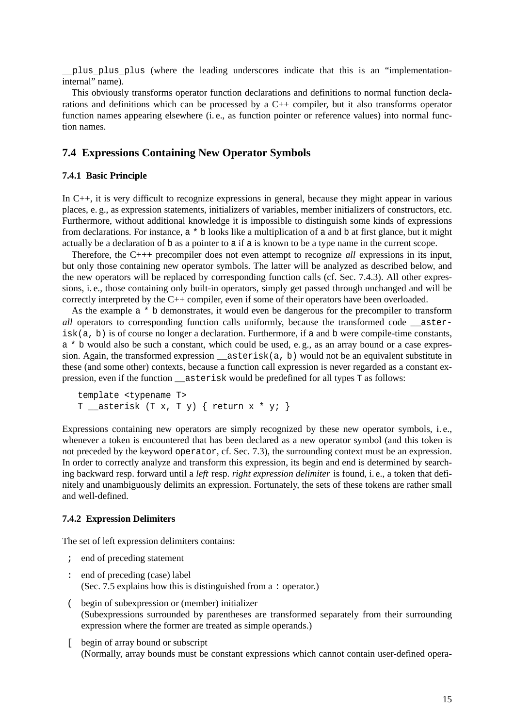\_\_plus\_plus\_plus (where the leading underscores indicate that this is an "implementationinternal" name).

This obviously transforms operator function declarations and definitions to normal function declarations and definitions which can be processed by a C++ compiler, but it also transforms operator function names appearing elsewhere (i. e., as function pointer or reference values) into normal function names.

### **7.4 Expressions Containing New Operator Symbols**

#### **7.4.1 Basic Principle**

In C++, it is very difficult to recognize expressions in general, because they might appear in various places, e. g., as expression statements, initializers of variables, member initializers of constructors, etc. Furthermore, without additional knowledge it is impossible to distinguish some kinds of expressions from declarations. For instance, a \* b looks like a multiplication of a and b at first glance, but it might actually be a declaration of b as a pointer to a if a is known to be a type name in the current scope.

Therefore, the C+++ precompiler does not even attempt to recognize *all* expressions in its input, but only those containing new operator symbols. The latter will be analyzed as described below, and the new operators will be replaced by corresponding function calls (cf. Sec. 7.4.3). All other expressions, i. e., those containing only built-in operators, simply get passed through unchanged and will be correctly interpreted by the C++ compiler, even if some of their operators have been overloaded.

As the example  $a * b$  demonstrates, it would even be dangerous for the precompiler to transform *all* operators to corresponding function calls uniformly, because the transformed code asterisk(a, b) is of course no longer a declaration. Furthermore, if a and b were compile-time constants, a \* b would also be such a constant, which could be used, e.g., as an array bound or a case expression. Again, the transformed expression \_\_asterisk(a, b) would not be an equivalent substitute in these (and some other) contexts, because a function call expression is never regarded as a constant expression, even if the function asterisk would be predefined for all types T as follows:

```
template <typename T>
T __asterisk (T x, T y) { return x * y; }
```
Expressions containing new operators are simply recognized by these new operator symbols, i. e., whenever a token is encountered that has been declared as a new operator symbol (and this token is not preceded by the keyword operator, cf. Sec. 7.3), the surrounding context must be an expression. In order to correctly analyze and transform this expression, its begin and end is determined by searching backward resp. forward until a *left* resp. *right expression delimiter* is found, i. e., a token that definitely and unambiguously delimits an expression. Fortunately, the sets of these tokens are rather small and well-defined.

#### **7.4.2 Expression Delimiters**

The set of left expression delimiters contains:

- ; end of preceding statement
- : end of preceding (case) label (Sec. 7.5 explains how this is distinguished from a : operator.)
- ( begin of subexpression or (member) initializer (Subexpressions surrounded by parentheses are transformed separately from their surrounding expression where the former are treated as simple operands.)
- [ begin of array bound or subscript (Normally, array bounds must be constant expressions which cannot contain user-defined opera-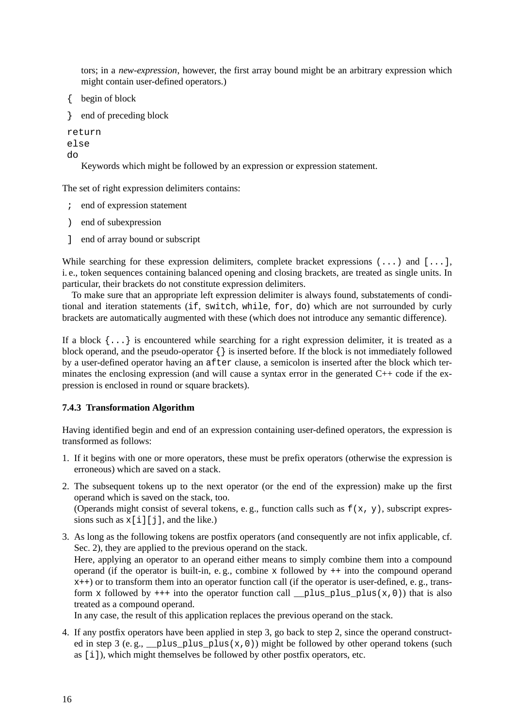tors; in a *new-expression*, however, the first array bound might be an arbitrary expression which might contain user-defined operators.)

```
{ begin of block
```

```
} end of preceding block
```
return else

do

Keywords which might be followed by an expression or expression statement.

The set of right expression delimiters contains:

- ; end of expression statement
- ) end of subexpression
- ] end of array bound or subscript

While searching for these expression delimiters, complete bracket expressions (...) and [...], i. e., token sequences containing balanced opening and closing brackets, are treated as single units. In particular, their brackets do not constitute expression delimiters.

To make sure that an appropriate left expression delimiter is always found, substatements of conditional and iteration statements (if, switch, while, for, do) which are not surrounded by curly brackets are automatically augmented with these (which does not introduce any semantic difference).

If a block {...} is encountered while searching for a right expression delimiter, it is treated as a block operand, and the pseudo-operator {} is inserted before. If the block is not immediately followed by a user-defined operator having an after clause, a semicolon is inserted after the block which terminates the enclosing expression (and will cause a syntax error in the generated C++ code if the expression is enclosed in round or square brackets).

### **7.4.3 Transformation Algorithm**

Having identified begin and end of an expression containing user-defined operators, the expression is transformed as follows:

- 1. If it begins with one or more operators, these must be prefix operators (otherwise the expression is erroneous) which are saved on a stack.
- 2. The subsequent tokens up to the next operator (or the end of the expression) make up the first operand which is saved on the stack, too. (Operands might consist of several tokens, e.g., function calls such as  $f(x, y)$ , subscript expressions such as  $x[i][j]$ , and the like.)
- 3. As long as the following tokens are postfix operators (and consequently are not infix applicable, cf. Sec. 2), they are applied to the previous operand on the stack. Here, applying an operator to an operand either means to simply combine them into a compound operand (if the operator is built-in, e. g., combine x followed by ++ into the compound operand  $x++$ ) or to transform them into an operator function call (if the operator is user-defined, e. g., transform x followed by  $++$  into the operator function call plus plus plus(x,0)) that is also treated as a compound operand.

In any case, the result of this application replaces the previous operand on the stack.

4. If any postfix operators have been applied in step 3, go back to step 2, since the operand constructed in step 3 (e.g.,  $\_\text{plusplus}$  plus  $\_\text{plus}(x,0)$ ) might be followed by other operand tokens (such as [i]), which might themselves be followed by other postfix operators, etc.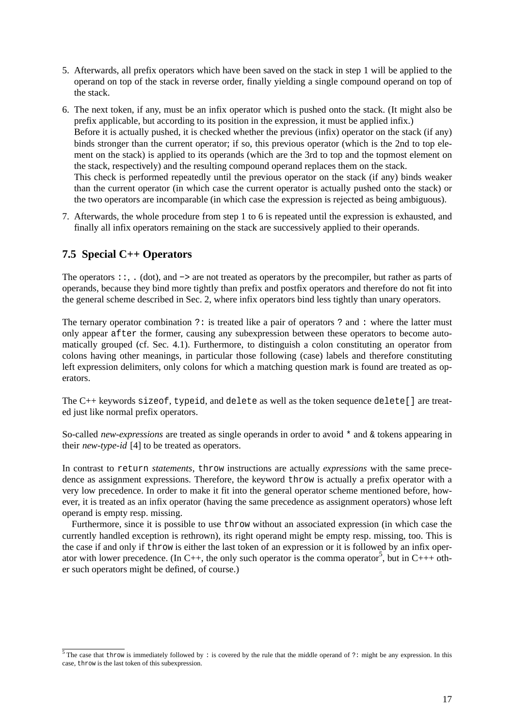- 5. Afterwards, all prefix operators which have been saved on the stack in step 1 will be applied to the operand on top of the stack in reverse order, finally yielding a single compound operand on top of the stack.
- 6. The next token, if any, must be an infix operator which is pushed onto the stack. (It might also be prefix applicable, but according to its position in the expression, it must be applied infix.) Before it is actually pushed, it is checked whether the previous (infix) operator on the stack (if any) binds stronger than the current operator; if so, this previous operator (which is the 2nd to top element on the stack) is applied to its operands (which are the 3rd to top and the topmost element on the stack, respectively) and the resulting compound operand replaces them on the stack. This check is performed repeatedly until the previous operator on the stack (if any) binds weaker than the current operator (in which case the current operator is actually pushed onto the stack) or the two operators are incomparable (in which case the expression is rejected as being ambiguous).
- 7. Afterwards, the whole procedure from step 1 to 6 is repeated until the expression is exhausted, and finally all infix operators remaining on the stack are successively applied to their operands.

### **7.5 Special C++ Operators**

The operators ::, . (dot), and −> are not treated as operators by the precompiler, but rather as parts of operands, because they bind more tightly than prefix and postfix operators and therefore do not fit into the general scheme described in Sec. 2, where infix operators bind less tightly than unary operators.

The ternary operator combination ?: is treated like a pair of operators ? and : where the latter must only appear after the former, causing any subexpression between these operators to become automatically grouped (cf. Sec. 4.1). Furthermore, to distinguish a colon constituting an operator from colons having other meanings, in particular those following (case) labels and therefore constituting left expression delimiters, only colons for which a matching question mark is found are treated as operators.

The C++ keywords sizeof, typeid, and delete as well as the token sequence delete[] are treated just like normal prefix operators.

So-called *new-expressions* are treated as single operands in order to avoid \* and & tokens appearing in their *new-type-id* [4] to be treated as operators.

In contrast to return *statements*, throw instructions are actually *expressions* with the same precedence as assignment expressions. Therefore, the keyword throw is actually a prefix operator with a very low precedence. In order to make it fit into the general operator scheme mentioned before, however, it is treated as an infix operator (having the same precedence as assignment operators) whose left operand is empty resp. missing.

Furthermore, since it is possible to use throw without an associated expression (in which case the currently handled exception is rethrown), its right operand might be empty resp. missing, too. This is the case if and only if throw is either the last token of an expression or it is followed by an infix operator with lower precedence. (In C++, the only such operator is the comma operator<sup>5</sup>, but in C+++ other such operators might be defined, of course.)

<sup>&</sup>lt;sup>5</sup> The case that throw is immediately followed by : is covered by the rule that the middle operand of ?: might be any expression. In this case, throw is the last token of this subexpression.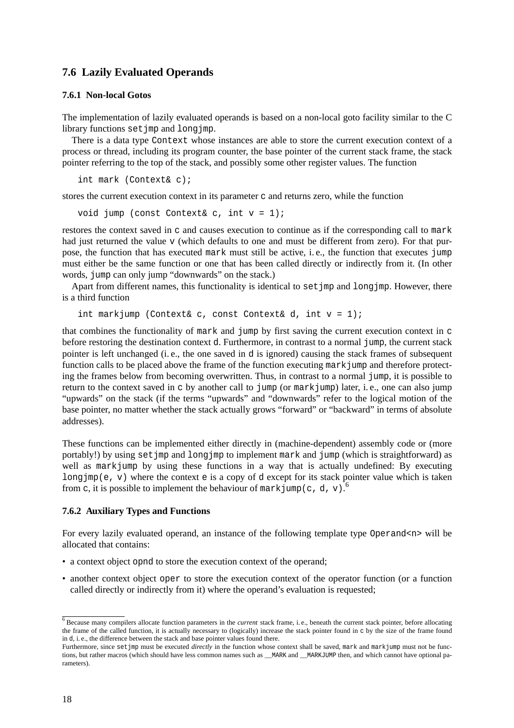### **7.6 Lazily Evaluated Operands**

#### **7.6.1 Non-local Gotos**

The implementation of lazily evaluated operands is based on a non-local goto facility similar to the C library functions set jmp and long jmp.

There is a data type Context whose instances are able to store the current execution context of a process or thread, including its program counter, the base pointer of the current stack frame, the stack pointer referring to the top of the stack, and possibly some other register values. The function

int mark (Context& c);

stores the current execution context in its parameter c and returns zero, while the function

void jump (const Context& c, int  $v = 1$ );

restores the context saved in c and causes execution to continue as if the corresponding call to mark had just returned the value v (which defaults to one and must be different from zero). For that purpose, the function that has executed mark must still be active, i. e., the function that executes jump must either be the same function or one that has been called directly or indirectly from it. (In other words, jump can only jump "downwards" on the stack.)

Apart from different names, this functionality is identical to set  $\gamma$  and  $\gamma$  and  $\gamma$  however, there is a third function

int markjump (Context& c, const Context& d, int  $v = 1$ );

that combines the functionality of mark and jump by first saving the current execution context in c before restoring the destination context d. Furthermore, in contrast to a normal jump, the current stack pointer is left unchanged (i. e., the one saved in d is ignored) causing the stack frames of subsequent function calls to be placed above the frame of the function executing mark jump and therefore protecting the frames below from becoming overwritten. Thus, in contrast to a normal jump, it is possible to return to the context saved in c by another call to jump (or markjump) later, i. e., one can also jump "upwards" on the stack (if the terms "upwards" and "downwards" refer to the logical motion of the base pointer, no matter whether the stack actually grows "forward" or "backward" in terms of absolute addresses).

These functions can be implemented either directly in (machine-dependent) assembly code or (more portably!) by using setjmp and longjmp to implement mark and jump (which is straightforward) as well as markjump by using these functions in a way that is actually undefined: By executing longjmp(e, v) where the context e is a copy of d except for its stack pointer value which is taken from c, it is possible to implement the behaviour of mark jump(c, d, v).

#### **7.6.2 Auxiliary Types and Functions**

For every lazily evaluated operand, an instance of the following template type Operand<n> will be allocated that contains:

- a context object opnd to store the execution context of the operand;
- another context object oper to store the execution context of the operator function (or a function called directly or indirectly from it) where the operand's evaluation is requested;

<sup>&</sup>lt;sup>6</sup> Because many compilers allocate function parameters in the *current* stack frame, i.e., beneath the current stack pointer, before allocating the frame of the called function, it is actually necessary to (logically) increase the stack pointer found in c by the size of the frame found in d, i. e., the difference between the stack and base pointer values found there.

Furthermore, since setjmp must be executed *directly* in the function whose context shall be saved, mark and markjump must not be functions, but rather macros (which should have less common names such as \_\_MARK and \_\_MARKJUMP then, and which cannot have optional parameters).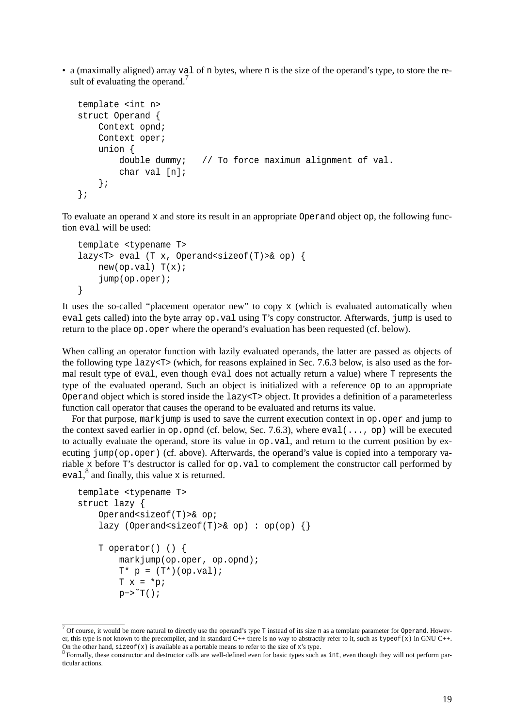• a (maximally aligned) array val of n bytes, where n is the size of the operand's type, to store the result of evaluating the operand.<sup>7</sup>

```
template <int n>
struct Operand {
    Context opnd;
    Context oper;
    union {
        double dummy; // To force maximum alignment of val.
        char val [n];
    };
};
```
To evaluate an operand x and store its result in an appropriate Operand object op, the following function eval will be used:

```
template <typename T>
lazy<T> eval (T x, Operand<sizeof(T)>& op) {
   new(op.val) T(x);jump(op.oper);
}
```
It uses the so-called "placement operator new" to copy x (which is evaluated automatically when eval gets called) into the byte array op. val using T's copy constructor. Afterwards, jump is used to return to the place op.oper where the operand's evaluation has been requested (cf. below).

When calling an operator function with lazily evaluated operands, the latter are passed as objects of the following type  $lazy < T$  (which, for reasons explained in Sec. 7.6.3 below, is also used as the formal result type of eval, even though eval does not actually return a value) where T represents the type of the evaluated operand. Such an object is initialized with a reference op to an appropriate Operand object which is stored inside the lazy<T> object. It provides a definition of a parameterless function call operator that causes the operand to be evaluated and returns its value.

For that purpose, mark jump is used to save the current execution context in op. oper and jump to the context saved earlier in  $op. op. opnd$  (cf. below, Sec. 7.6.3), where  $eval(\ldots, op)$  will be executed to actually evaluate the operand, store its value in  $op$ , val, and return to the current position by executing jump(op.oper) (cf. above). Afterwards, the operand's value is copied into a temporary variable x before T's destructor is called for op.val to complement the constructor call performed by eval,<sup>8</sup> and finally, this value x is returned.

```
template <typename T>
struct lazy {
    Operand<sizeof(T)>& op;
    lazy (Operand<sizeof(T)>& op) : op(op) {}
    T operator() () {
        markjump(op.oper, op.opnd);
        T^* p = (T^*) (op.val);
        Tx = *p;p->^{\sim}T();
```
 $\overline{7}$  Of course, it would be more natural to directly use the operand's type T instead of its size n as a template parameter for Operand. However, this type is not known to the precompiler, and in standard C++ there is no way to abstractly refer to it, such as typeof(x) in GNU C++.

On the other hand,  $\text{size}$  of (x) is available as a portable means to refer to the size of x's type.<br><sup>8</sup> Formally, these constructor and destructor calls are well-defined even for basic types such as int, even though they ticular actions.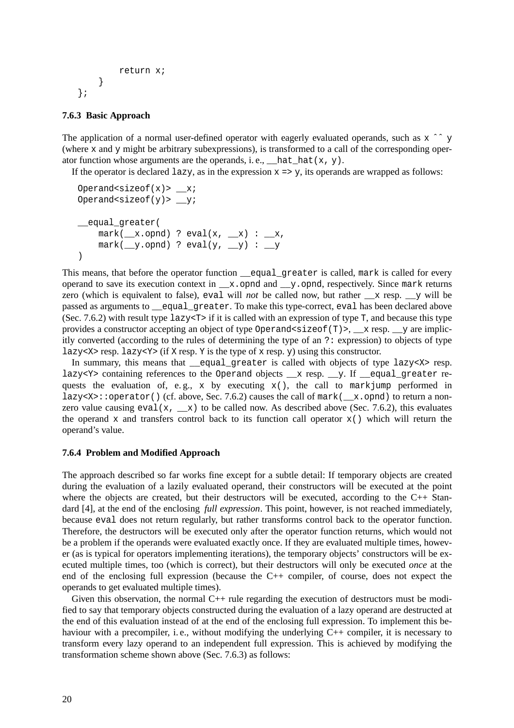```
return x;
    }
};
```
#### **7.6.3 Basic Approach**

The application of a normal user-defined operator with eagerly evaluated operands, such as  $x \rightharpoonup y$ (where x and y might be arbitrary subexpressions), is transformed to a call of the corresponding operator function whose arguments are the operands, i.e.,  $\_\text{hat}$  hat  $(x, y)$ .

If the operator is declared  $\text{lazy}$ , as in the expression  $x \Rightarrow y$ , its operands are wrapped as follows:

```
Operand<sizeof(x)> xi;
Operand<sizeof(y)> _y;
__equal_greater(
   mark(\_\ x.opnd) ? eval(x, \_\ x) : \_\ x,mark( y.opnd) ? eval(y, y) : y)
```
This means, that before the operator function \_\_equal\_greater is called, mark is called for every operand to save its execution context in  $\_\mathbf{x}$ .opnd and  $\_\mathbf{y}$ .opnd, respectively. Since mark returns zero (which is equivalent to false), eval will *not* be called now, but rather  $\bar{x}$  resp.  $\bar{y}$  will be passed as arguments to \_\_equal\_greater. To make this type-correct, eval has been declared above (Sec. 7.6.2) with result type  $l$  azy $\langle T \rangle$  if it is called with an expression of type T, and because this type provides a constructor accepting an object of type  $\Omega$  operand size of  $(T)$ , x resp. y are implicitly converted (according to the rules of determining the type of an ?: expression) to objects of type lazy<X> resp. lazy<Y> (if X resp. Y is the type of x resp. y) using this constructor.

In summary, this means that equal greater is called with objects of type lazy $\langle x \rangle$  resp. lazy<Y> containing references to the Operand objects \_\_x resp. \_\_y. If \_\_equal\_greater requests the evaluation of, e.g., x by executing  $x()$ , the call to mark jump performed in lazy<X>::operator() (cf. above, Sec. 7.6.2) causes the call of mark( $\_\text{x.opnd}$ ) to return a nonzero value causing eval(x,  $\_\text{x}$ ) to be called now. As described above (Sec. 7.6.2), this evaluates the operand x and transfers control back to its function call operator  $x()$  which will return the operand's value.

#### **7.6.4 Problem and Modified Approach**

The approach described so far works fine except for a subtle detail: If temporary objects are created during the evaluation of a lazily evaluated operand, their constructors will be executed at the point where the objects are created, but their destructors will be executed, according to the  $C_{++}$  Standard [4], at the end of the enclosing *full expression*. This point, however, is not reached immediately, because eval does not return regularly, but rather transforms control back to the operator function. Therefore, the destructors will be executed only after the operator function returns, which would not be a problem if the operands were evaluated exactly once. If they are evaluated multiple times, however (as is typical for operators implementing iterations), the temporary objects' constructors will be executed multiple times, too (which is correct), but their destructors will only be executed *once* at the end of the enclosing full expression (because the C++ compiler, of course, does not expect the operands to get evaluated multiple times).

Given this observation, the normal C++ rule regarding the execution of destructors must be modified to say that temporary objects constructed during the evaluation of a lazy operand are destructed at the end of this evaluation instead of at the end of the enclosing full expression. To implement this behaviour with a precompiler, i.e., without modifying the underlying C++ compiler, it is necessary to transform every lazy operand to an independent full expression. This is achieved by modifying the transformation scheme shown above (Sec. 7.6.3) as follows: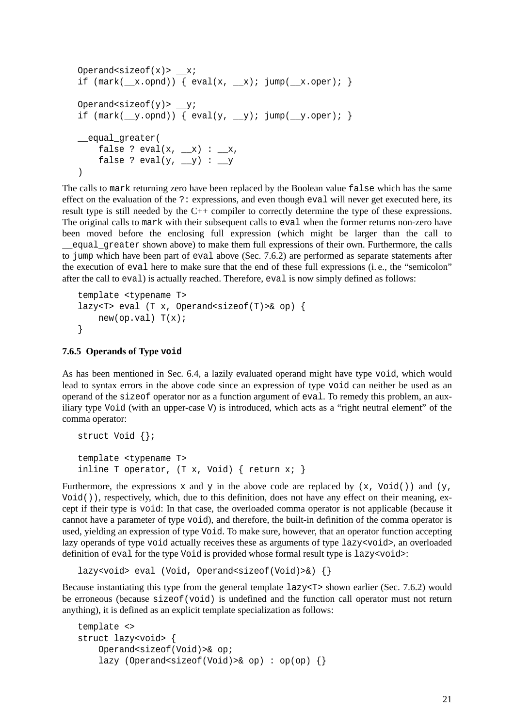```
Operand<sizeof(x)> \_\mathbf{x};
if (\text{mark}(\text{rx}.\text{opnd})) \{ \text{eval}(x, \text{rx}): \text{jump}(\text{rx}.\text{oper}): \}Operand<sizeof(y)> y;
if (\text{mark}(\underline{y}.\text{opnd})) { eval(y, \underline{y}); jump(\underline{y}.\text{oper}); }
__equal_greater(
     false ? eval(x, \_\ x) : \_\ x,
      false ? eval(y, -y) : -y)
```
The calls to mark returning zero have been replaced by the Boolean value false which has the same effect on the evaluation of the ?: expressions, and even though eval will never get executed here, its result type is still needed by the C++ compiler to correctly determine the type of these expressions. The original calls to mark with their subsequent calls to eval when the former returns non-zero have been moved before the enclosing full expression (which might be larger than the call to \_\_equal\_greater shown above) to make them full expressions of their own. Furthermore, the calls to jump which have been part of eval above (Sec. 7.6.2) are performed as separate statements after the execution of eval here to make sure that the end of these full expressions (i. e., the "semicolon" after the call to eval) is actually reached. Therefore, eval is now simply defined as follows:

```
template <typename T>
lazy<T> eval (T x, Operand<sizeof(T)>& op) {
   new(op.val) T(x);}
```
#### **7.6.5 Operands of Type void**

As has been mentioned in Sec. 6.4, a lazily evaluated operand might have type void, which would lead to syntax errors in the above code since an expression of type void can neither be used as an operand of the sizeof operator nor as a function argument of eval. To remedy this problem, an auxiliary type Void (with an upper-case V) is introduced, which acts as a "right neutral element" of the comma operator:

```
struct Void {};
template <typename T>
inline T operator, (T x, Void) \{ return x; \}
```
Furthermore, the expressions x and y in the above code are replaced by  $(x, \text{void}() )$  and  $(y, \text{ void} ()$  $\text{Void}(\cdot)$ , respectively, which, due to this definition, does not have any effect on their meaning, except if their type is void: In that case, the overloaded comma operator is not applicable (because it cannot have a parameter of type void), and therefore, the built-in definition of the comma operator is used, yielding an expression of type Void. To make sure, however, that an operator function accepting lazy operands of type void actually receives these as arguments of type lazy<void>, an overloaded definition of eval for the type Void is provided whose formal result type is lazy<void>:

```
lazy<void> eval (Void, Operand<sizeof(Void)>&) {}
```
Because instantiating this type from the general template lazy<T> shown earlier (Sec. 7.6.2) would be erroneous (because sizeof(void) is undefined and the function call operator must not return anything), it is defined as an explicit template specialization as follows:

```
template <>
struct lazy<void> {
   Operand<sizeof(Void)>& op;
   lazy (Operand<sizeof(Void)>& op) : op(op) {}
```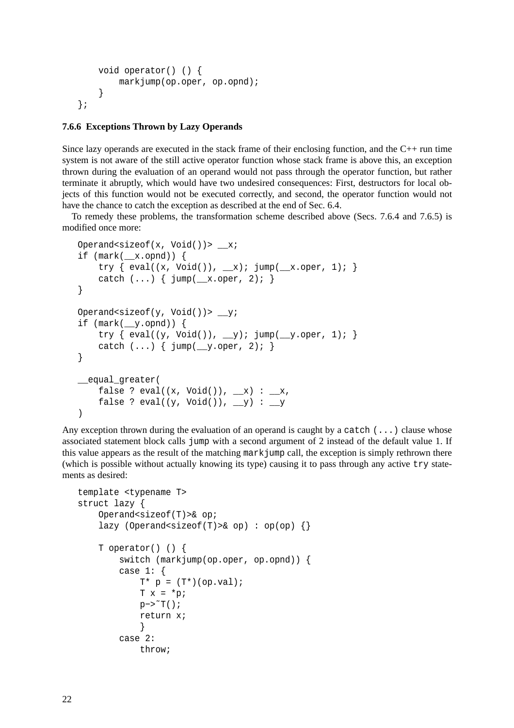```
void operator() () {
        markjump(op.oper, op.opnd);
    }
};
```
### **7.6.6 Exceptions Thrown by Lazy Operands**

Since lazy operands are executed in the stack frame of their enclosing function, and the C++ run time system is not aware of the still active operator function whose stack frame is above this, an exception thrown during the evaluation of an operand would not pass through the operator function, but rather terminate it abruptly, which would have two undesired consequences: First, destructors for local objects of this function would not be executed correctly, and second, the operator function would not have the chance to catch the exception as described at the end of Sec. 6.4.

To remedy these problems, the transformation scheme described above (Secs. 7.6.4 and 7.6.5) is modified once more:

```
Operand<sizeof(x, Void())> x;
if (\text{mark}(\text{rx}.\text{opnd})) {
    try \{ \text{eval}((x, \text{void}()); \_\text{x}): \text{jump}(\_\text{x.open}, 1); \}catch (...) { jump(_x.\text{oper}, 2); }
}
Operand<sizeof(y, Void())> _y;
if (mark(__y.opnd)) {
    try { eval((y, Void()), _y); jump(_y.oper, 1); }
    catch (...) { jump( y.oper, 2); }
}
equal greater(
    false ? eval((x, Void()), (x) : (x, x)false ? eval((y, Void()), y) : y)
```
Any exception thrown during the evaluation of an operand is caught by a catch  $(\ldots)$  clause whose associated statement block calls jump with a second argument of 2 instead of the default value 1. If this value appears as the result of the matching markjump call, the exception is simply rethrown there (which is possible without actually knowing its type) causing it to pass through any active try statements as desired:

```
template <typename T>
struct lazy {
    Operand<sizeof(T)>& op;
    lazy (Operand<sizeof(T)>& op) : op(op) {}
    T operator() () {
        switch (markjump(op.oper, op.opnd)) {
        case 1: {
            T^* p = (T^*)(op.val);Tx = *p;p->^{\sim}T();
            return x;
            }
        case 2:
            throw;
```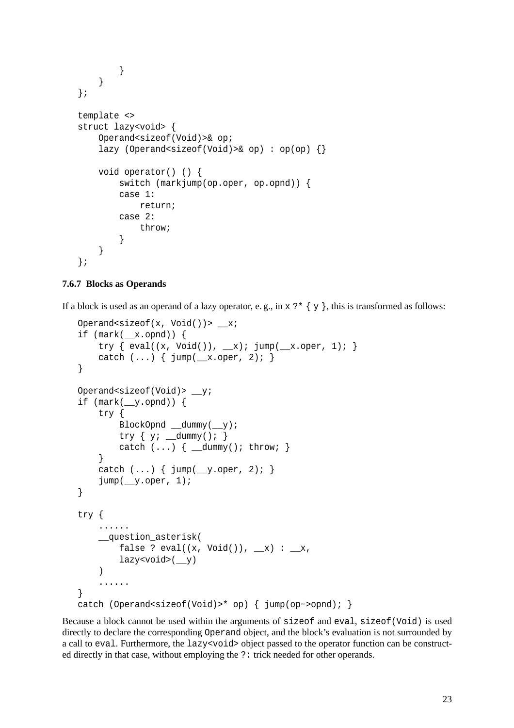```
}
    }
};
template <>
struct lazy<void> {
    Operand<sizeof(Void)>& op;
    lazy (Operand<sizeof(Void)>& op) : op(op) {}
    void operator() () {
        switch (markjump(op.oper, op.opnd)) {
        case 1:
            return;
        case 2:
            throw;
        }
    }
};
```
#### **7.6.7 Blocks as Operands**

If a block is used as an operand of a lazy operator, e.g., in  $x \rightarrow x {\ y}$ , this is transformed as follows:

```
Operand<sizeof(x, Void())> -x;
if (\text{mark}(\text{rx}.\text{opnd})) {
    try \{eval((x, Void))), x\}; jump(x, \text{oper}, 1);catch (...) { jump(_x.\text{oper}, 2); }
}
Operand<sizeof(Void)> _y;
if (mark(__y.opnd)) {
    try {
        BlockOpnd __dummy(__y);
        try { y; __dummy(); }
        catch (...) { \_dummy(); throw; }
    }
    catch (...) { jump(_y.oper, 2); }
    jump(_y.oper, 1);
}
try {
    ......
    __question_asterisk(
        false ? eval((x, Void()), (x) : (x, x)lazy<void>(__y)
    )
    ......
}
catch (Operand<sizeof(Void)>* op) { jump(op−>opnd); }
```
Because a block cannot be used within the arguments of sizeof and eval, sizeof(Void) is used directly to declare the corresponding Operand object, and the block's evaluation is not surrounded by a call to eval. Furthermore, the lazy<void> object passed to the operator function can be constructed directly in that case, without employing the ?: trick needed for other operands.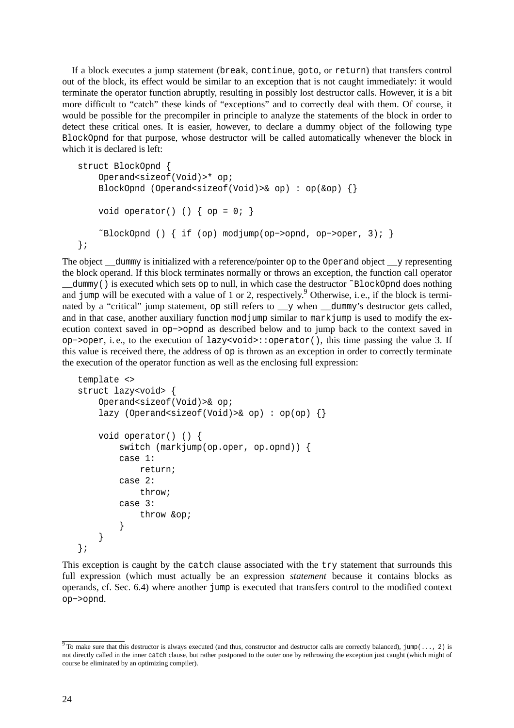If a block executes a jump statement (break, continue, goto, or return) that transfers control out of the block, its effect would be similar to an exception that is not caught immediately: it would terminate the operator function abruptly, resulting in possibly lost destructor calls. However, it isabit more difficult to "catch" these kinds of "exceptions" and to correctly deal with them. Of course, it would be possible for the precompiler in principle to analyze the statements of the block in order to detect these critical ones. It is easier, however, to declare a dummy object of the following type BlockOpnd for that purpose, whose destructor will be called automatically whenever the block in which it is declared is left:

```
struct BlockOpnd {
   Operand<sizeof(Void)>* op;
   BlockOpnd (Operand<sizeof(Void)>& op) : op(&op) {}
   void operator() () \{ op = 0; \}˜BlockOpnd () { if (op) modjump(op−>opnd, op−>oper, 3); }
};
```
The object  $\alpha$  dummy is initialized with a reference/pointer op to the Operand object  $\alpha$  y representing the block operand. If this block terminates normally or throws an exception, the function call operator \_\_dummy() is executed which sets op to null, in which case the destructor ˜BlockOpnd does nothing and jump will be executed with a value of 1 or 2, respectively. <sup>9</sup> Otherwise, i.e., if the block is terminated by a "critical" jump statement, op still refers to  $y$  when  $y$  alummy's destructor gets called, and in that case, another auxiliary function mod jump similar to mark jump is used to modify the execution context saved in op−>opnd as described below and to jump back to the context saved in op−>oper, i. e., to the execution of lazy<void>::operator(), this time passing the value 3. If this value is received there, the address of op is thrown as an exception in order to correctly terminate the execution of the operator function as well as the enclosing full expression:

```
template <>
struct lazy<void> {
    Operand<sizeof(Void)>& op;
    lazy (Operand<sizeof(Void)>& op) : op(op) {}
    void operator() () {
        switch (markjump(op.oper, op.opnd)) {
        case 1:
            return;
        case 2:
            throw;
        case 3:
            throw &op;
        }
    }
};
```
This exception is caught by the catch clause associated with the try statement that surrounds this full expression (which must actually be an expression *statement* because it contains blocks as operands, cf. Sec. 6.4) where another jump is executed that transfers control to the modified context op−>opnd.

<sup>&</sup>lt;sup>9</sup> To make sure that this destructor is always executed (and thus, constructor and destructor calls are correctly balanced),  $\lim_{n \to \infty}$  (..., 2) is not directly called in the inner catch clause, but rather postponed to the outer one by rethrowing the exception just caught (which might of course be eliminated by an optimizing compiler).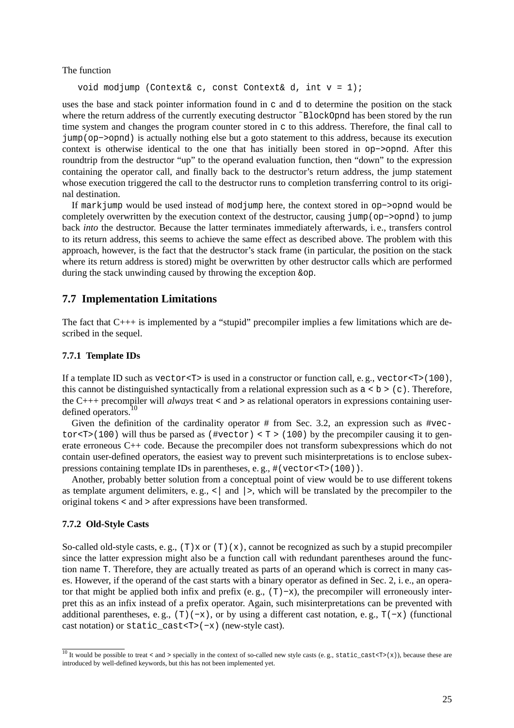The function

```
void modjump (Context& c, const Context& d, int v = 1);
```
uses the base and stack pointer information found in c and d to determine the position on the stack where the return address of the currently executing destructor ~BlockOpnd has been stored by the run time system and changes the program counter stored in c to this address. Therefore, the final call to jump(op−>opnd) is actually nothing else but a goto statement to this address, because its execution context is otherwise identical to the one that has initially been stored in op−>opnd. After this roundtrip from the destructor "up" to the operand evaluation function, then "down" to the expression containing the operator call, and finally back to the destructor's return address, the jump statement whose execution triggered the call to the destructor runs to completion transferring control to its original destination.

If markjump would be used instead of modjump here, the context stored in op−>opnd would be completely overwritten by the execution context of the destructor, causing jump(op−>opnd) to jump back *into* the destructor. Because the latter terminates immediately afterwards, i. e., transfers control to its return address, this seems to achieve the same effect as described above. The problem with this approach, however, is the fact that the destructor's stack frame (in particular, the position on the stack where its return address is stored) might be overwritten by other destructor calls which are performed during the stack unwinding caused by throwing the exception &op.

### **7.7 Implementation Limitations**

The fact that C+++ is implemented by a "stupid" precompiler implies a few limitations which are described in the sequel.

#### **7.7.1 Template IDs**

If a template ID such as vector  $\langle T \rangle$  is used in a constructor or function call, e.g., vector  $\langle T \rangle$  (100), this cannot be distinguished syntactically from a relational expression such as  $a < b > (c)$ . Therefore, the C+++ precompiler will *always* treat < and > as relational operators in expressions containing userdefined operators.<sup>10</sup>

Given the definition of the cardinality operator  $\#$  from Sec. 3.2, an expression such as  $\#vecc$ tor<T>(100) will thus be parsed as (#vector) < T > (100) by the precompiler causing it to generate erroneous C++ code. Because the precompiler does not transform subexpressions which do not contain user-defined operators, the easiest way to prevent such misinterpretations is to enclose subexpressions containing template IDs in parentheses, e. g., #(vector<T>(100)).

Another, probably better solution from a conceptual point of view would be to use different tokens as template argument delimiters, e.g.,  $\langle \cdot |$  and  $| \cdot \rangle$ , which will be translated by the precompiler to the original tokens < and > after expressions have been transformed.

#### **7.7.2 Old-Style Casts**

So-called old-style casts, e.g.,  $(T) \times$  or  $(T)(x)$ , cannot be recognized as such by a stupid precompiler since the latter expression might also be a function call with redundant parentheses around the function name T. Therefore, they are actually treated as parts of an operand which is correct in many cases. However, if the operand of the cast starts with a binary operator as defined in Sec. 2, i. e., an operator that might be applied both infix and prefix (e.g.,  $(T)$  –x), the precompiler will erroneously interpret this as an infix instead of a prefix operator. Again, such misinterpretations can be prevented with additional parentheses, e.g.,  $(T)(-x)$ , or by using a different cast notation, e.g.,  $T(-x)$  (functional cast notation) or static\_cast<T>(−x) (new-style cast).

 $\frac{10}{10}$  It would be possible to treat < and > specially in the context of so-called new style casts (e.g., static\_cast<T>(x)), because these are introduced by well-defined keywords, but this has not been implemented yet.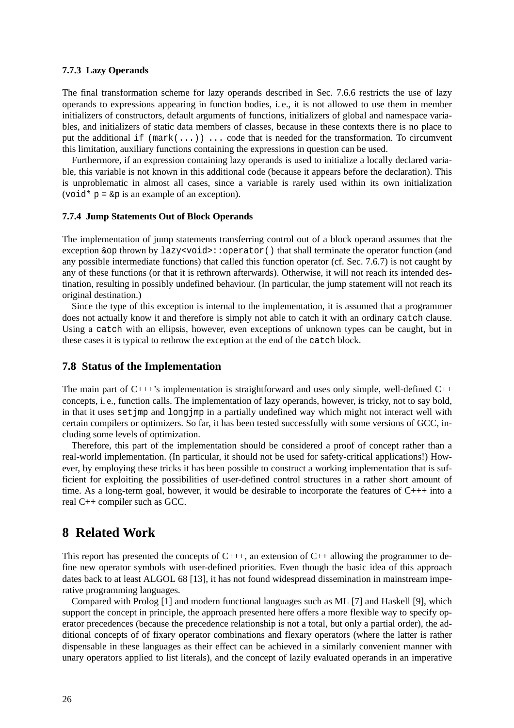#### **7.7.3 Lazy Operands**

The final transformation scheme for lazy operands described in Sec. 7.6.6 restricts the use of lazy operands to expressions appearing in function bodies, i. e., it is not allowed to use them in member initializers of constructors, default arguments of functions, initializers of global and namespace variables, and initializers of static data members of classes, because in these contexts there is no place to put the additional if  $(\text{mark}(\dots))$ ... code that is needed for the transformation. To circumvent this limitation, auxiliary functions containing the expressions in question can be used.

Furthermore, if an expression containing lazy operands is used to initialize a locally declared variable, this variable is not known in this additional code (because it appears before the declaration). This is unproblematic in almost all cases, since a variable is rarely used within its own initialization  $(void * p = \&p$  is an example of an exception).

#### **7.7.4 Jump Statements Out of Block Operands**

The implementation of jump statements transferring control out of a block operand assumes that the exception &op thrown by lazy<void>::operator() that shall terminate the operator function (and any possible intermediate functions) that called this function operator (cf. Sec. 7.6.7) is not caught by any of these functions (or that it is rethrown afterwards). Otherwise, it will not reach its intended destination, resulting in possibly undefined behaviour. (In particular, the jump statement will not reach its original destination.)

Since the type of this exception is internal to the implementation, it is assumed that a programmer does not actually know it and therefore is simply not able to catch it with an ordinary catch clause. Using a catch with an ellipsis, however, even exceptions of unknown types can be caught, but in these cases it is typical to rethrow the exception at the end of the catch block.

#### **7.8 Status of the Implementation**

The main part of  $C_{+++}$ 's implementation is straightforward and uses only simple, well-defined  $C_{++}$ concepts, i. e., function calls. The implementation of lazy operands, however, is tricky, not to say bold, in that it uses set imp and long imp in a partially undefined way which might not interact well with certain compilers or optimizers. So far, it has been tested successfully with some versions of GCC, including some levels of optimization.

Therefore, this part of the implementation should be considered a proof of concept rather than a real-world implementation. (In particular, it should not be used for safety-critical applications!) However, by employing these tricks it has been possible to construct a working implementation that is sufficient for exploiting the possibilities of user-defined control structures in a rather short amount of time. As a long-term goal, however, it would be desirable to incorporate the features of C+++ into a real C++ compiler such as GCC.

### **8 Related Work**

This report has presented the concepts of  $C_{+++}$ , an extension of  $C_{++}$  allowing the programmer to define new operator symbols with user-defined priorities. Even though the basic idea of this approach dates back to at least ALGOL 68 [13], it has not found widespread dissemination in mainstream imperative programming languages.

Compared with Prolog [1] and modern functional languages such as ML [7] and Haskell [9], which support the concept in principle, the approach presented here offers a more flexible way to specify operator precedences (because the precedence relationship is not a total, but only a partial order), the additional concepts of of fixary operator combinations and flexary operators (where the latter is rather dispensable in these languages as their effect can be achieved in a similarly convenient manner with unary operators applied to list literals), and the concept of lazily evaluated operands in an imperative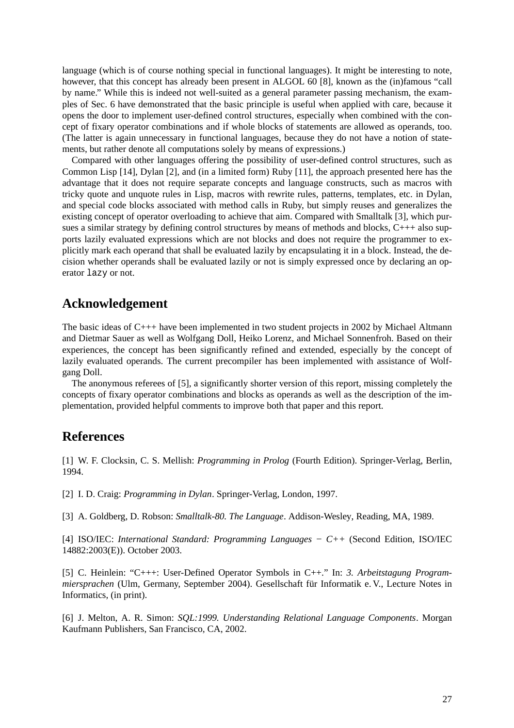language (which is of course nothing special in functional languages). It might be interesting to note, however, that this concept has already been present in ALGOL 60 [8], known as the (in)famous "call by name." While this is indeed not well-suited as a general parameter passing mechanism, the examples of Sec. 6 have demonstrated that the basic principle is useful when applied with care, because it opens the door to implement user-defined control structures, especially when combined with the concept of fixary operator combinations and if whole blocks of statements are allowed as operands, too. (The latter is again unnecessary in functional languages, because they do not have a notion of statements, but rather denote all computations solely by means of expressions.)

Compared with other languages offering the possibility of user-defined control structures, such as Common Lisp [14], Dylan [2], and (in a limited form) Ruby [11], the approach presented here has the advantage that it does not require separate concepts and language constructs, such as macros with tricky quote and unquote rules in Lisp, macros with rewrite rules, patterns, templates, etc. in Dylan, and special code blocks associated with method calls in Ruby, but simply reuses and generalizes the existing concept of operator overloading to achieve that aim. Compared with Smalltalk [3], which pursues a similar strategy by defining control structures by means of methods and blocks, C+++ also supports lazily evaluated expressions which are not blocks and does not require the programmer to explicitly mark each operand that shall be evaluated lazily by encapsulating it in a block. Instead, the decision whether operands shall be evaluated lazily or not is simply expressed once by declaring an operator lazy or not.

# **Acknowledgement**

The basic ideas of C+++ have been implemented in two student projects in 2002 by Michael Altmann and Dietmar Sauer as well as Wolfgang Doll, Heiko Lorenz, and Michael Sonnenfroh. Based on their experiences, the concept has been significantly refined and extended, especially by the concept of lazily evaluated operands. The current precompiler has been implemented with assistance of Wolfgang Doll.

The anonymous referees of [5], a significantly shorter version of this report, missing completely the concepts of fixary operator combinations and blocks as operands as well as the description of the implementation, provided helpful comments to improve both that paper and this report.

### **References**

[1] W. F. Clocksin, C. S. Mellish: *Programming in Prolog* (Fourth Edition). Springer-Verlag, Berlin, 1994.

[2] I. D. Craig: *Programming in Dylan*. Springer-Verlag, London, 1997.

[3] A. Goldberg, D. Robson: *Smalltalk-80. The Language*. Addison-Wesley, Reading, MA, 1989.

[4] ISO/IEC: *International Standard: Programming Languages − C++* (Second Edition, ISO/IEC 14882:2003(E)). October 2003.

[5] C. Heinlein: "C+++: User-Defined Operator Symbols in C++." In: *3. Arbeitstagung Programmiersprachen* (Ulm, Germany, September 2004). Gesellschaft für Informatik e. V., Lecture Notes in Informatics, (in print).

[6] J. Melton, A. R. Simon: *SQL:1999. Understanding Relational Language Components*. Morgan Kaufmann Publishers, San Francisco, CA, 2002.